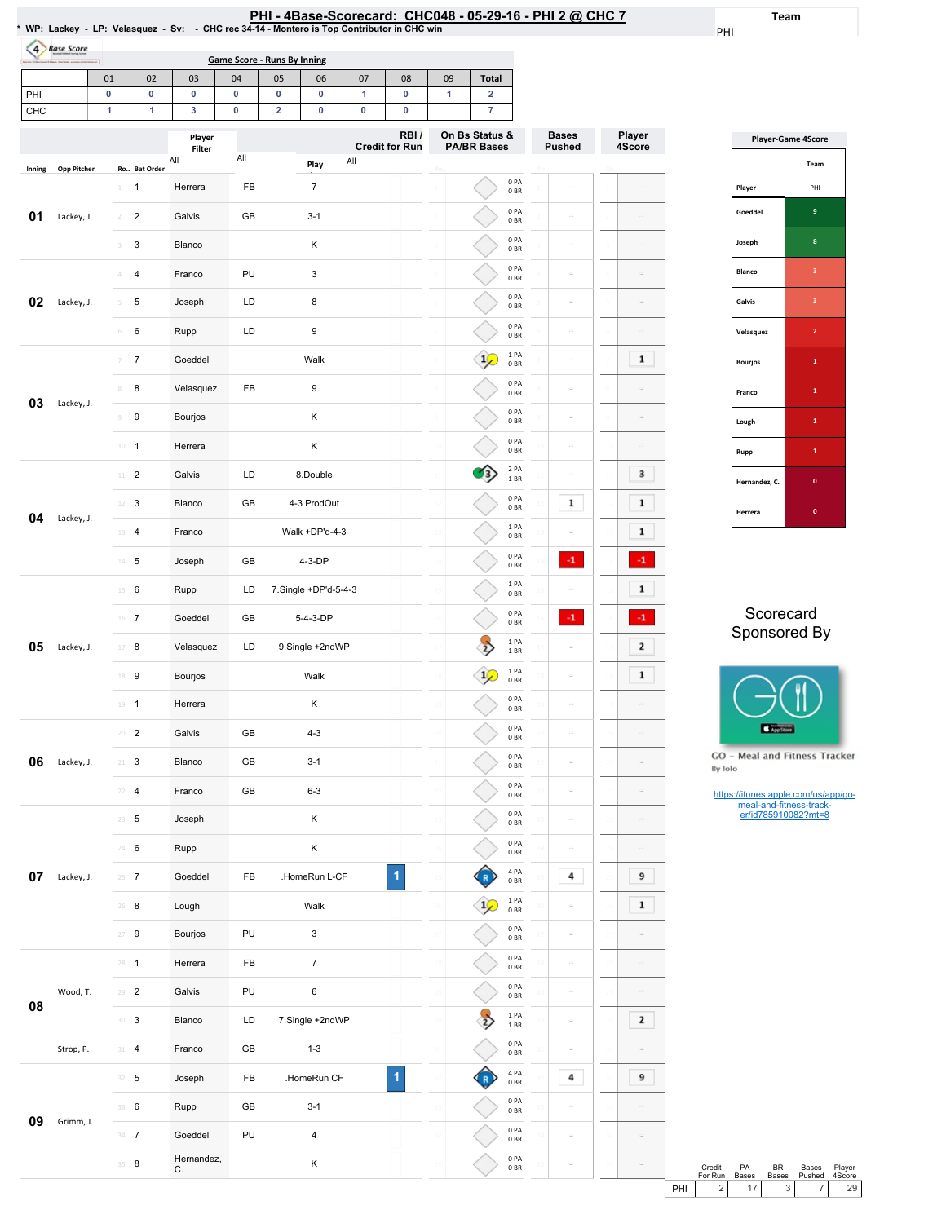| PHI - 4Base-Scorecard: CHC048 - 05-29-16 - PHI 2 @ CHC 7 |  |
|----------------------------------------------------------|--|
|----------------------------------------------------------|--|

Team

PHI

Ro..

Player 4Score

 $\bar{\omega}$ 

 $\omega$  $\begin{array}{|c|} \hline \textbf{1} \end{array}$ 

 $\boxed{3}$ 

 $\boxed{1}$  $\begin{array}{|c|} \hline \textbf{1} \end{array}$ 

 $\langle {\bf 4}\rangle$  $\boxed{1}$ 

 $\langle {\bf 4}\rangle$  $\overline{\mathbf{2}}$  $\overline{\mathbf{1}}$ 

 $\omega$ 

|        |                   |                                |                | WP: Lackey - LP: Velasquez - Sv: - CHC rec 34-14 - Montero is Top Contributor in CHC win |                                    |                         |                      |             |                               |                 | PHI - 4Base-Scorecard: CHC048 - 05-29-16 - PHI 2 @ C |                               |
|--------|-------------------|--------------------------------|----------------|------------------------------------------------------------------------------------------|------------------------------------|-------------------------|----------------------|-------------|-------------------------------|-----------------|------------------------------------------------------|-------------------------------|
| (4)    | <b>Base Score</b> |                                |                |                                                                                          | <b>Game Score - Runs By Inning</b> |                         |                      |             |                               |                 |                                                      |                               |
|        |                   | $\overline{\phantom{a}}$<br>01 | 02             | 03                                                                                       | 04                                 | 05                      | 06                   | 07          | 08                            | 09              | <b>Total</b>                                         |                               |
| PHI    |                   | 0                              | $\pmb{0}$      | 0                                                                                        | 0                                  | 0                       | 0                    | 1           | $\pmb{0}$                     | 1               | $\overline{\mathbf{2}}$                              |                               |
| CHC    |                   | 1                              | 1              | 3                                                                                        | 0                                  | $\overline{\mathbf{2}}$ | 0                    | $\mathbf 0$ | $\pmb{0}$                     |                 | $\overline{7}$                                       |                               |
|        |                   |                                |                | Player<br>Filter                                                                         |                                    |                         |                      |             | RBI/<br><b>Credit for Run</b> |                 | On Bs Status &<br><b>PA/BR Bases</b>                 | <b>Bases</b><br><b>Pushed</b> |
| Inning | Opp Pitcher       |                                | Ro Bat Order   | All                                                                                      | All                                |                         | Play                 | All         |                               |                 |                                                      |                               |
|        |                   | 1                              | $\mathbf{1}$   | Herrera                                                                                  | FB                                 |                         | 7                    |             |                               |                 | 0PA<br>0 <sub>BR</sub>                               |                               |
| 01     | Lackey, J.        |                                | $\overline{2}$ | Galvis                                                                                   | GB                                 |                         | $3 - 1$              |             |                               |                 | 0PA<br>0 <sub>BR</sub>                               |                               |
|        |                   | ٦                              | 3              | Blanco                                                                                   |                                    |                         | Κ                    |             |                               |                 | 0PA<br>0 <sub>BR</sub>                               |                               |
|        |                   | 4                              | $\overline{4}$ | Franco                                                                                   | PU                                 |                         | 3                    |             |                               |                 | 0PA<br>0 <sub>BR</sub>                               |                               |
| 02     | Lackey, J.        | 5                              | 5              | Joseph                                                                                   | LD                                 |                         | 8                    |             |                               |                 | 0PA<br>0 <sub>BR</sub>                               |                               |
|        |                   | 6                              | 6              | Rupp                                                                                     | LD                                 |                         | 9                    |             |                               |                 | 0PA<br>0 <sub>BR</sub>                               |                               |
|        |                   | 7                              | $\overline{7}$ | Goeddel                                                                                  |                                    |                         | Walk                 |             |                               |                 | 1PA<br>0 <sub>BR</sub>                               |                               |
|        |                   | 8                              | 8              | Velasquez                                                                                | FB                                 |                         | 9                    |             |                               |                 | 0 <sub>PA</sub><br>0 <sub>BR</sub>                   |                               |
| 03     | Lackey, J.        | $\circ$                        | 9              | Bourjos                                                                                  |                                    |                         | Κ                    |             |                               |                 | 0PA<br>0 <sub>BR</sub>                               |                               |
|        |                   | $10 -$                         | $\mathbf{1}$   | Herrera                                                                                  |                                    |                         | κ                    |             |                               |                 | 0PA<br>0 <sub>BR</sub>                               |                               |
|        |                   | 11                             | $\overline{2}$ | Galvis                                                                                   | LD                                 |                         | 8.Double             |             |                               | $\overline{11}$ | 2PA<br>1BR                                           |                               |
|        |                   | 12                             | 3              | Blanco                                                                                   | GB                                 |                         | 4-3 ProdOut          |             |                               | $\overline{12}$ | 0PA<br>0 <sub>BR</sub>                               | 1                             |
| 04     | Lackey, J.        | 13                             | 4              | Franco                                                                                   |                                    |                         | Walk +DP'd-4-3       |             |                               |                 | 1PA<br>0 <sub>BR</sub>                               |                               |
|        |                   | 14                             | 5              | Joseph                                                                                   | GB                                 |                         | 4-3-DP               |             |                               | 14              | 0PA<br>0 <sub>BR</sub>                               | -1                            |
|        |                   | 15                             | 6              | Rupp                                                                                     | LD                                 |                         | 7.Single +DP'd-5-4-3 |             |                               | ç,              | 1PA<br>0 <sub>BR</sub>                               |                               |
|        |                   |                                | $16$ 7         | Goeddel                                                                                  | GB                                 |                         | 5-4-3-DP             |             |                               |                 | 0PA<br>0 <sub>BR</sub>                               | -1                            |
| 05     | Lackey, J.        | $17\,$                         | 8              | Velasquez                                                                                | LD                                 |                         | 9.Single +2ndWP      |             |                               | $\overline{1}$  | 1PA<br>1 BR                                          |                               |
|        |                   | 18                             | 9              | Bourjos                                                                                  |                                    |                         | Walk                 |             |                               | 18              | 1PA<br>0 <sub>BR</sub>                               |                               |
|        |                   | 19                             | $\mathbf{1}$   | Herrera                                                                                  |                                    |                         | K                    |             |                               | 19              | 0PA<br>0 <sub>BR</sub>                               |                               |
|        |                   | 20                             | $\overline{2}$ | Galvis                                                                                   | GB                                 |                         | $4 - 3$              |             |                               |                 | 0PA<br>0 <sub>BR</sub>                               |                               |
|        |                   |                                |                |                                                                                          |                                    |                         |                      |             |                               |                 |                                                      |                               |

Blanco GB 3-1

**06** Lackey, J. 21 3

07 Lackey, J.

Wood,T.

Strop, P.

09 Grimm, J.

08

|                | <b>Player-Game 4Score</b> |
|----------------|---------------------------|
|                | Team                      |
| Player         | PHI                       |
| Goeddel        | 9                         |
| Joseph         | 8                         |
| Blanco         | 3                         |
| Galvis         | $\overline{\mathbf{3}}$   |
| Velasquez      | $\overline{2}$            |
| <b>Bourjos</b> | $\mathbf{1}$              |
| Franco         | 1                         |
| Lough          | 1                         |
| Rupp           | 1                         |
| Hernandez, C.  | O                         |
| Herrera        | O                         |

## Scorecard Sponsored By



GO - Meal and Fitness Tracker By Iolo

| $22 \quad 4$ | Franco           | GB | $6 - 3$         |                |    |                | 0PA<br>0 <sub>BR</sub>  |         |                                      | https://itunes.apple.com/us/app/go-                                                           |
|--------------|------------------|----|-----------------|----------------|----|----------------|-------------------------|---------|--------------------------------------|-----------------------------------------------------------------------------------------------|
| $23 - 5$     | Joseph           |    | Κ               |                | 23 |                | 0PA<br>0BR              | $\circ$ | $\qquad \qquad \qquad \qquad \qquad$ | meal-and-fitness-track-<br>er/id785910082?mt=8                                                |
| 24 6         | Rupp             |    | Κ               |                | 24 |                | 0PA<br>0 <sub>BR</sub>  |         | $\overline{\phantom{m}}$             |                                                                                               |
| $25 - 7$     | Goeddel          | FB | .HomeRun L-CF   | $\overline{1}$ |    |                | 4 PA<br>0BR             | 4       | 9                                    |                                                                                               |
| $26 - 8$     | Lough            |    | Walk            |                |    | $\frac{1}{2}$  | 1 PA<br>0BR             |         | $\mathbf{1}$                         |                                                                                               |
| $27 - 9$     | Bourjos          | PU | 3               |                | 27 |                | 0PA<br>0 <sub>BR</sub>  | ۵       | $\qquad \qquad =\qquad$              |                                                                                               |
| $28 - 1$     | Herrera          | FB | $\overline{7}$  |                | 28 |                | 0PA<br>0 <sub>BR</sub>  |         | $\overline{\phantom{m}}$             |                                                                                               |
| $29 - 2$     | Galvis           | PU | $\,6\,$         |                | 29 |                | 0PA<br>0 <sub>BR</sub>  |         | $\Rightarrow$                        |                                                                                               |
| $30-3$       | Blanco           | LD | 7.Single +2ndWP |                | 30 | $\overline{2}$ | 1 PA<br>1 BR            | $\sim$  | $\mathbf{2}$                         |                                                                                               |
| $31 - 4$     | Franco           | GB | $1 - 3$         |                | 31 |                | 0PA<br>0BR              |         | $\overline{\phantom{m}}$             |                                                                                               |
| $32 - 5$     | Joseph           | FB | .HomeRun CF     | 1              |    |                | 4 PA<br>0BR             | 4       | 9                                    |                                                                                               |
| 33 6         | Rupp             | GB | $3 - 1$         |                | 33 |                | 0PA<br>0 <sub>BR</sub>  |         | $\qquad \qquad \qquad \qquad \qquad$ |                                                                                               |
| $34 - 7$     | Goeddel          | PU | 4               |                | 34 |                | 0PA<br>0 <sub>BR</sub>  |         | $\qquad \qquad \qquad \qquad \qquad$ |                                                                                               |
| 35 8         | Hernandez,<br>C. |    | Κ               |                | 35 |                | 0 PA<br>0 <sub>BR</sub> |         |                                      | Credit<br>PA<br><b>BR</b><br>Bases<br>Player<br>For Run<br>Bases<br>Bases<br>Pushed<br>4Score |
|              |                  |    |                 |                |    |                |                         |         |                                      | 2<br>17<br>3<br>$\overline{7}$<br>29<br>PHI                                                   |

21

0PA 0BR

21

 $\omega$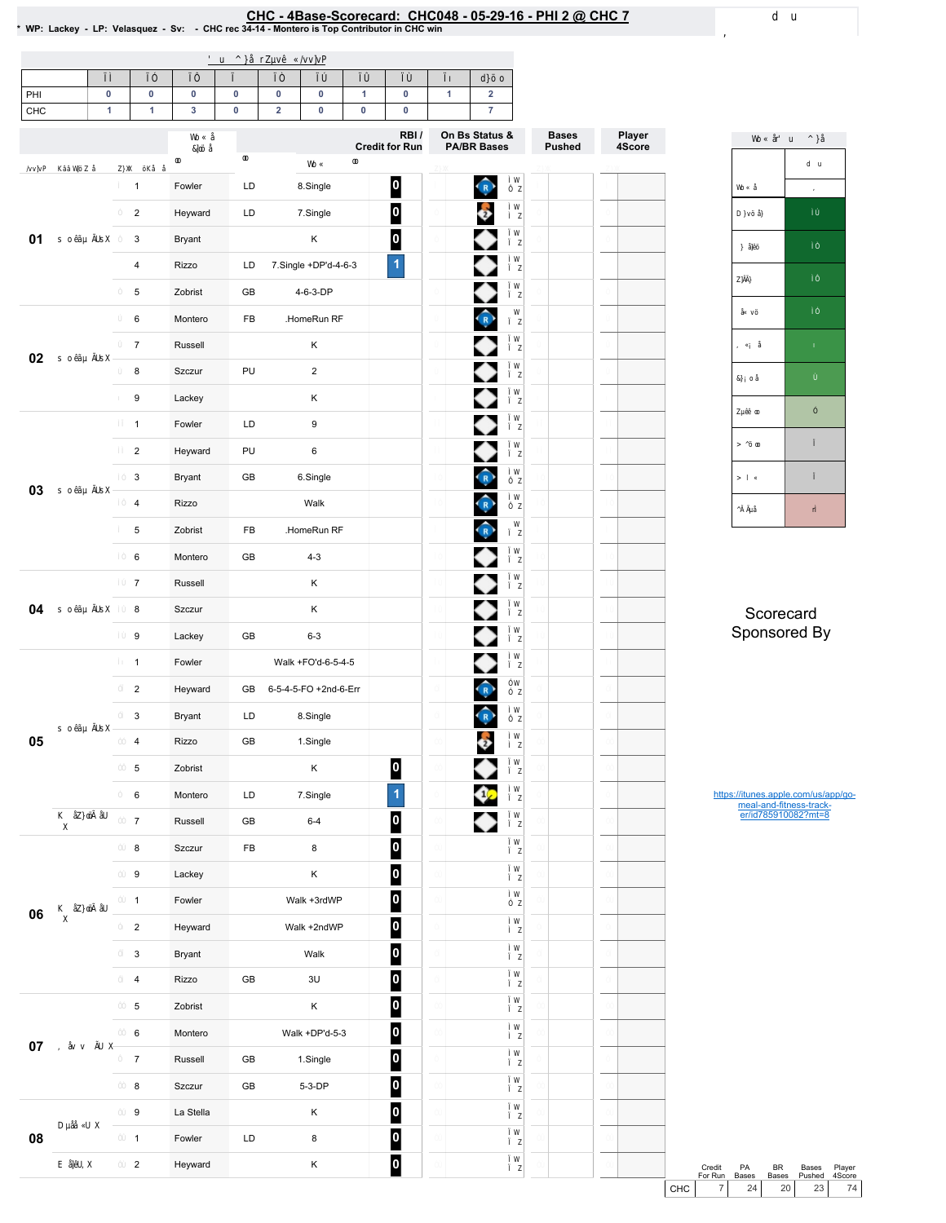# EHC - 4Base-Scorecard: CHC048 - 05-29-16 - PHI 2 @ CHC 7 لـ VP: Lackey - LP: Velasquez - Sv: - CHC rec 34-14 - Montero is Top Contributor in CHC win

| PHI<br>CHC | $\pmb{0}$<br>$\overline{1}$ | $\pmb{0}$<br>$\mathbf{1}$ | $\pmb{0}$<br>$\mathbf{3}$ | $\bf{0}$<br>$\pmb{0}$ | $\mathbf 0$<br>$\overline{\mathbf{2}}$ | $\mathbf 0$<br>$\mathbf 0$ | $\blacktriangleleft$<br>$\pmb{0}$ | $\mathbf 0$<br>$\bf{0}$ | $\mathbf{1}$ | $\mathbf 2$<br>$\overline{\mathbf{7}}$               |               |                  |
|------------|-----------------------------|---------------------------|---------------------------|-----------------------|----------------------------------------|----------------------------|-----------------------------------|-------------------------|--------------|------------------------------------------------------|---------------|------------------|
|            |                             |                           |                           |                       |                                        |                            |                                   | RBI/                    |              | On Bs Status &                                       | <b>Bases</b>  | Player<br>4Score |
|            |                             |                           |                           |                       |                                        |                            |                                   | <b>Credit for Run</b>   |              | <b>PA/BR Bases</b>                                   | <b>Pushed</b> |                  |
|            |                             | $\mathbf{1}$              | Fowler                    | LD                    |                                        | 8.Single                   |                                   | $\boldsymbol{0}$        |              | $\widehat{\mathbb{R}}$                               |               |                  |
|            |                             | $\overline{2}$            | Heyward                   | LD                    |                                        | 7.Single                   |                                   | $\overline{\mathbf{0}}$ |              | $\ddot{\bullet}$                                     |               |                  |
| 01         |                             | 3                         | Bryant                    |                       |                                        | Κ                          |                                   | $\overline{\mathbf{0}}$ |              |                                                      |               |                  |
|            |                             | $\overline{4}$            | Rizzo                     | LD                    |                                        | 7.Single +DP'd-4-6-3       |                                   | $\overline{1}$          |              | ◆                                                    |               |                  |
|            |                             | 5                         | Zobrist                   | GB                    |                                        | 4-6-3-DP                   |                                   |                         |              | ◆                                                    |               |                  |
|            |                             | 6                         | Montero                   | FB                    |                                        | .HomeRun RF                |                                   |                         |              | $\hat{R}$                                            |               |                  |
|            |                             | $\overline{7}$            | Russell                   |                       |                                        | Κ                          |                                   |                         |              | ◆                                                    |               |                  |
| 02         |                             | 8                         | Szczur                    | PU                    |                                        | $\overline{2}$             |                                   |                         |              | ◆                                                    |               |                  |
|            |                             | 9                         | Lackey                    |                       |                                        | Κ                          |                                   |                         |              | ◆                                                    |               |                  |
|            |                             | $\mathbf{1}$              | Fowler                    | LD                    |                                        | $\boldsymbol{9}$           |                                   |                         |              |                                                      |               |                  |
|            |                             | $\overline{2}$            | Heyward                   | PU                    |                                        | 6                          |                                   |                         |              |                                                      |               |                  |
|            |                             | 3                         | Bryant                    | GB                    |                                        | 6.Single                   |                                   |                         |              | $\bigodot$                                           |               |                  |
| 03         |                             | $\overline{4}$            | Rizzo                     |                       |                                        | Walk                       |                                   |                         |              | $\bigcap$                                            |               |                  |
|            |                             | 5                         | Zobrist                   | FB                    |                                        | .HomeRun RF                |                                   |                         |              | $\hat{R}$                                            |               |                  |
|            |                             | 6                         | Montero                   | $\mathsf{GB}$         |                                        | $4 - 3$                    |                                   |                         |              | ◆                                                    |               |                  |
|            |                             | $\overline{7}$            | Russell                   |                       |                                        | Κ                          |                                   |                         |              | ◆                                                    |               |                  |
| 04         |                             | 8                         | Szczur                    |                       |                                        | Κ                          |                                   |                         |              | ◆                                                    |               |                  |
|            |                             | 9                         | Lackey                    | GB                    |                                        | $6 - 3$                    |                                   |                         |              | ◆                                                    |               |                  |
|            |                             | $\mathbf{1}$              | Fowler                    |                       |                                        | Walk +FO'd-6-5-4-5         |                                   |                         |              | ◆                                                    |               |                  |
|            |                             | $\overline{2}$            | Heyward                   | GB                    |                                        | 6-5-4-5-FO +2nd-6-Err      |                                   |                         |              | $\bigodot$                                           |               |                  |
|            |                             | 3                         | Bryant                    | LD                    |                                        | 8.Single                   |                                   |                         |              | $\left( \begin{array}{c} 0 \\ R \end{array} \right)$ |               |                  |
| 05         |                             | $\overline{4}$            | Rizzo                     | GB                    |                                        | 1.Single                   |                                   |                         |              | $\ddot{\bullet}$                                     |               |                  |
|            |                             | $\,$ 5 $\,$               | Zobrist                   |                       |                                        | Κ                          |                                   | $\bf{0}$                |              |                                                      |               |                  |
|            |                             | 6                         | Montero                   | LD                    |                                        | 7.Single                   |                                   | 1                       |              | ¢                                                    |               |                  |
|            |                             | $\overline{7}$            | Russell                   | GB                    |                                        | $6 - 4$                    |                                   | $\boldsymbol{0}$        |              | ◆                                                    |               |                  |
|            |                             | 8                         | Szczur                    | ${\sf FB}$            |                                        | 8                          |                                   | $\overline{\mathbf{0}}$ |              |                                                      |               |                  |
|            |                             | $\boldsymbol{9}$          | Lackey                    |                       |                                        | Κ                          |                                   | $\overline{\mathbf{0}}$ |              |                                                      |               |                  |
|            |                             | $\mathbf{1}$              | Fowler                    |                       |                                        | Walk +3rdWP                |                                   | $\bullet$               |              |                                                      |               |                  |
| 06         |                             | $\overline{2}$            | Heyward                   |                       |                                        | Walk +2ndWP                |                                   | $\bullet$               |              |                                                      |               |                  |
|            |                             | 3                         | Bryant                    |                       |                                        | Walk                       |                                   | $\mathbf{0}$            |              |                                                      |               |                  |
|            |                             | $\overline{4}$            | Rizzo                     | ${\sf GB}$            |                                        | 3U                         |                                   | $\overline{\mathbf{0}}$ |              |                                                      |               |                  |
|            |                             | $\,$ 5 $\,$               | Zobrist                   |                       |                                        | Κ                          |                                   | $\bullet$               |              |                                                      |               |                  |
|            |                             | 6                         | Montero                   |                       |                                        | Walk +DP'd-5-3             |                                   | $\boldsymbol{0}$        |              |                                                      |               |                  |
| 07         |                             | $\overline{7}$            | Russell                   | GB                    |                                        | 1.Single                   |                                   | $\bullet$               |              |                                                      |               |                  |
|            |                             | 8                         | Szczur                    | GB                    |                                        | 5-3-DP                     |                                   | $\bullet$               |              |                                                      |               |                  |
|            |                             | 9                         | La Stella                 |                       |                                        | Κ                          |                                   | $\bf{0}$                |              |                                                      |               |                  |
| 08         |                             | $\mathbf{1}$              | Fowler                    | LD                    |                                        | 8                          |                                   | $\boldsymbol{0}$        |              |                                                      |               |                  |
|            |                             | $\overline{2}$            | Heyward                   |                       |                                        | Κ                          |                                   | $\mathbf{0}$            |              |                                                      |               |                  |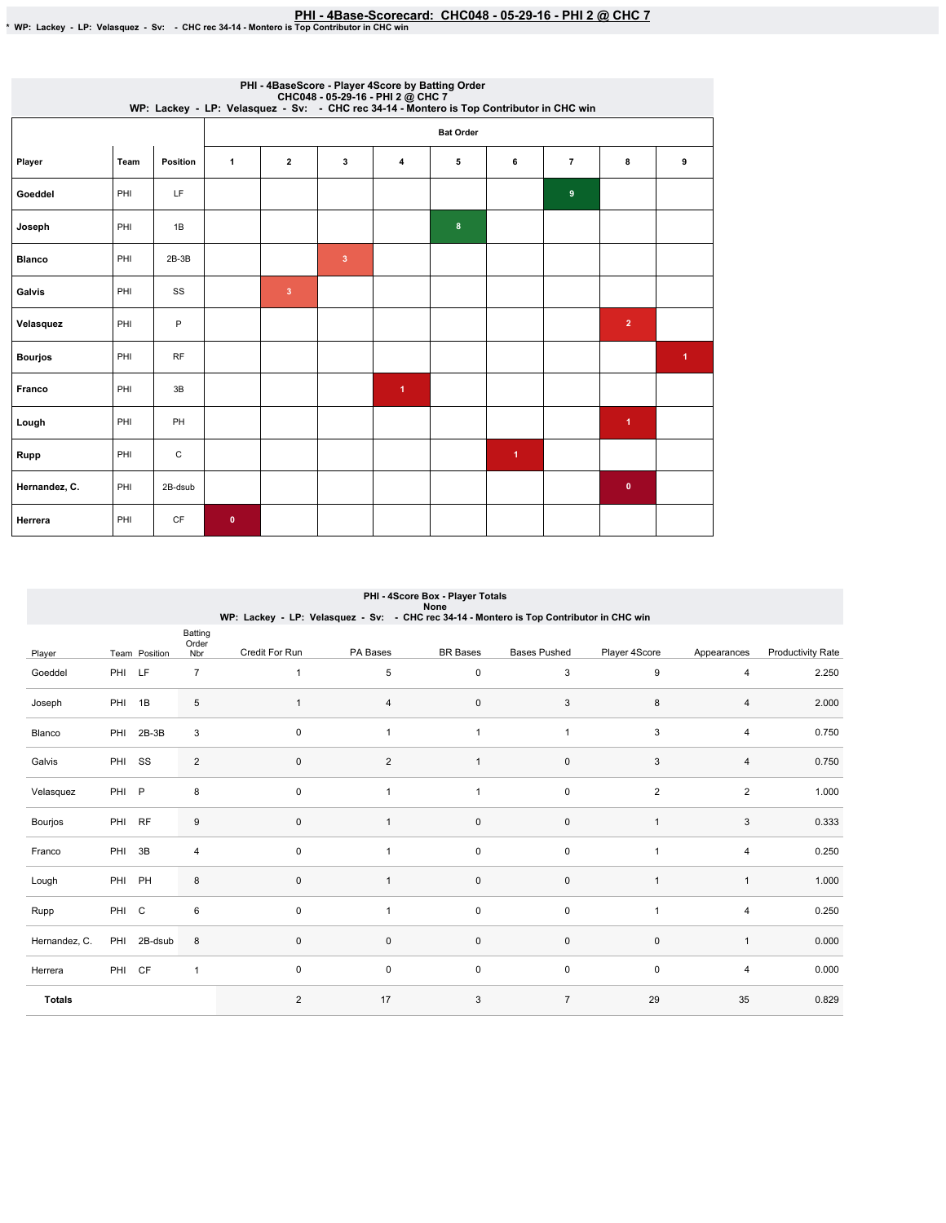|                |      |           | CHC048 - 05-29-16 - PHI 2 @ CHC 7<br>WP: Lackey - LP: Velasquez - Sv: - CHC rec 34-14 - Montero is Top Contributor in CHC win |                |                         |                      | PHI - 4BaseScore - Player 4Score by Batting Order |                      |                |                      |                      |
|----------------|------|-----------|-------------------------------------------------------------------------------------------------------------------------------|----------------|-------------------------|----------------------|---------------------------------------------------|----------------------|----------------|----------------------|----------------------|
|                |      |           |                                                                                                                               |                |                         |                      | <b>Bat Order</b>                                  |                      |                |                      |                      |
| Player         | Team | Position  | $\mathbf{1}$                                                                                                                  | $\mathbf{2}$   | 3                       | 4                    | 5                                                 | 6                    | $\overline{7}$ | 8                    | 9                    |
| Goeddel        | PHI  | LF        |                                                                                                                               |                |                         |                      |                                                   |                      | 9              |                      |                      |
| Joseph         | PHI  | 1B        |                                                                                                                               |                |                         |                      | 8                                                 |                      |                |                      |                      |
| <b>Blanco</b>  | PHI  | $2B-3B$   |                                                                                                                               |                | $\overline{\mathbf{3}}$ |                      |                                                   |                      |                |                      |                      |
| Galvis         | PHI  | SS        |                                                                                                                               | $\overline{3}$ |                         |                      |                                                   |                      |                |                      |                      |
| Velasquez      | PHI  | P         |                                                                                                                               |                |                         |                      |                                                   |                      |                | $\overline{2}$       |                      |
| <b>Bourjos</b> | PHI  | <b>RF</b> |                                                                                                                               |                |                         |                      |                                                   |                      |                |                      | $\blacktriangleleft$ |
| Franco         | PHI  | 3B        |                                                                                                                               |                |                         | $\blacktriangleleft$ |                                                   |                      |                |                      |                      |
| Lough          | PHI  | PH        |                                                                                                                               |                |                         |                      |                                                   |                      |                | $\blacktriangleleft$ |                      |
| Rupp           | PHI  | С         |                                                                                                                               |                |                         |                      |                                                   | $\blacktriangleleft$ |                |                      |                      |
| Hernandez, C.  | PHI  | 2B-dsub   |                                                                                                                               |                |                         |                      |                                                   |                      |                | $\bullet$            |                      |
| Herrera        | PHI  | <b>CF</b> | $\mathbf{0}$                                                                                                                  |                |                         |                      |                                                   |                      |                |                      |                      |

|               |        |               |                         | WP: Lackey - LP: Velasquez - Sv: - CHC rec 34-14 - Montero is Top Contributor in CHC win |                | PHI - 4Score Box - Player Totals<br>None |                     |                |                |                          |
|---------------|--------|---------------|-------------------------|------------------------------------------------------------------------------------------|----------------|------------------------------------------|---------------------|----------------|----------------|--------------------------|
| Player        |        | Team Position | Batting<br>Order<br>Nbr | Credit For Run                                                                           | PA Bases       | <b>BR</b> Bases                          | <b>Bases Pushed</b> | Player 4Score  | Appearances    | <b>Productivity Rate</b> |
| Goeddel       | PHI LF |               | $\overline{7}$          | $\mathbf{1}$                                                                             | 5              | 0                                        | 3                   | 9              | $\overline{4}$ | 2.250                    |
| Joseph        | PHI 1B |               | 5                       | 1                                                                                        | 4              | 0                                        | 3                   | 8              | 4              | 2.000                    |
| Blanco        | PHI    | $2B-3B$       | 3                       | 0                                                                                        | $\mathbf{1}$   | $\mathbf{1}$                             | $\mathbf{1}$        | 3              | $\overline{4}$ | 0.750                    |
| Galvis        | PHI SS |               | 2                       | $\pmb{0}$                                                                                | $\overline{2}$ | $\mathbf{1}$                             | $\pmb{0}$           | 3              | $\overline{4}$ | 0.750                    |
| Velasquez     | PHI P  |               | 8                       | 0                                                                                        |                | $\mathbf{1}$                             | 0                   | $\overline{2}$ | 2              | 1.000                    |
| Bourjos       | PHI    | <b>RF</b>     | 9                       | $\mathsf 0$                                                                              | 1              | 0                                        | 0                   | $\mathbf{1}$   | 3              | 0.333                    |
| Franco        | PHI 3B |               | 4                       | 0                                                                                        | 1              | 0                                        | 0                   | $\mathbf{1}$   | 4              | 0.250                    |
| Lough         | PHI PH |               | 8                       | $\mathsf 0$                                                                              |                | 0                                        | $\pmb{0}$           | $\mathbf{1}$   | $\mathbf{1}$   | 1.000                    |
| Rupp          | PHI C  |               | 6                       | 0                                                                                        | 1              | 0                                        | 0                   | $\mathbf{1}$   | $\overline{4}$ | 0.250                    |
| Hernandez, C. |        | PHI 2B-dsub   | 8                       | 0                                                                                        | 0              | 0                                        | 0                   | $\mathbf 0$    | $\mathbf{1}$   | 0.000                    |
| Herrera       | PHI CF |               | $\mathbf{1}$            | 0                                                                                        | 0              | 0                                        | 0                   | $\mathsf 0$    | 4              | 0.000                    |
| <b>Totals</b> |        |               |                         | $\overline{2}$                                                                           | 17             | 3                                        | $\overline{7}$      | 29             | 35             | 0.829                    |

## PHI-4ScoreBox-PlayerTotals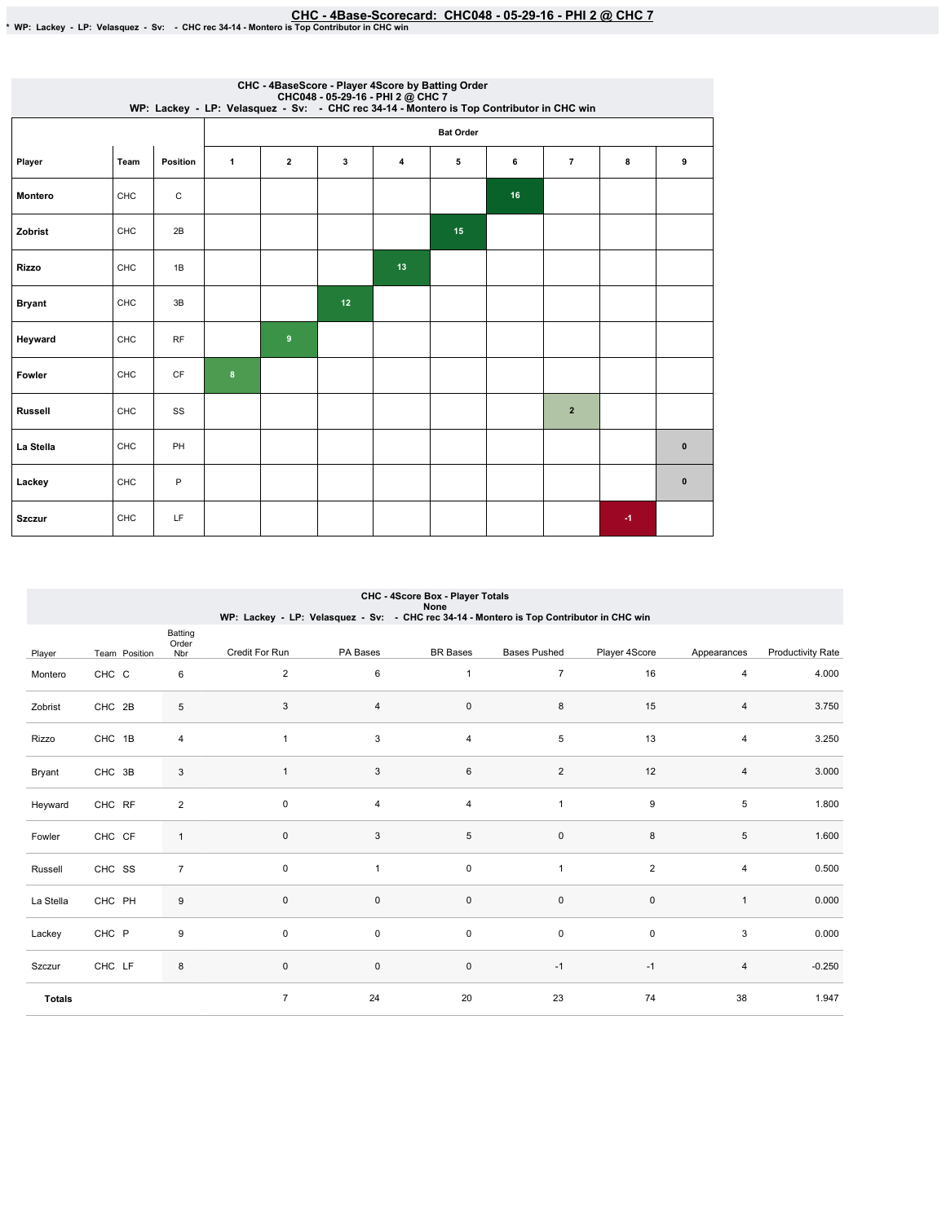|                |      |           |                |                |    |    | CHC - 4BaseScore - Player 4Score by Batting Order<br>CHC048 - 05-29-16 - PHI 2 @ CHC 7<br>WP: Lackey - LP: Velasquez - Sv: - CHC rec 34-14 - Montero is Top Contributor in CHC win |    |                |   |           |
|----------------|------|-----------|----------------|----------------|----|----|------------------------------------------------------------------------------------------------------------------------------------------------------------------------------------|----|----------------|---|-----------|
|                |      |           |                |                |    |    | <b>Bat Order</b>                                                                                                                                                                   |    |                |   |           |
| Player         | Team | Position  | $\mathbf{1}$   | $\overline{2}$ | 3  | 4  | 5                                                                                                                                                                                  | 6  | $\overline{7}$ | 8 | 9         |
| Montero        | CHC  | С         |                |                |    |    |                                                                                                                                                                                    | 16 |                |   |           |
| Zobrist        | CHC  | 2B        |                |                |    |    | 15                                                                                                                                                                                 |    |                |   |           |
| <b>Rizzo</b>   | CHC  | 1B        |                |                |    | 13 |                                                                                                                                                                                    |    |                |   |           |
| <b>Bryant</b>  | CHC  | 3B        |                |                | 12 |    |                                                                                                                                                                                    |    |                |   |           |
| Heyward        | CHC  | <b>RF</b> |                | $9$            |    |    |                                                                                                                                                                                    |    |                |   |           |
| Fowler         | CHC  | CF        | 8 <sup>2</sup> |                |    |    |                                                                                                                                                                                    |    |                |   |           |
| <b>Russell</b> | CHC  | SS        |                |                |    |    |                                                                                                                                                                                    |    | $\overline{2}$ |   |           |
| La Stella      | CHC  | PH        |                |                |    |    |                                                                                                                                                                                    |    |                |   | $\pmb{0}$ |
| Lackey         | CHC  | P         |                |                |    |    |                                                                                                                                                                                    |    |                |   | $\pmb{0}$ |
| <b>Szczur</b>  | CHC  | LF        |                |                |    |    |                                                                                                                                                                                    |    |                | 4 |           |

|               |               |                         | WP: Lackey - LP: Velasquez - Sv: - CHC rec 34-14 - Montero is Top Contributor in CHC win |          | None                |                     |                  |                |                          |
|---------------|---------------|-------------------------|------------------------------------------------------------------------------------------|----------|---------------------|---------------------|------------------|----------------|--------------------------|
| Player        | Team Position | Batting<br>Order<br>Nbr | Credit For Run                                                                           | PA Bases | <b>BR</b> Bases     | <b>Bases Pushed</b> | Player 4Score    | Appearances    | <b>Productivity Rate</b> |
| Montero       | CHC C         | 6                       | 2                                                                                        | 6        | 1                   | $\overline{7}$      | 16               | 4              | 4.000                    |
| Zobrist       | CHC 2B        | 5                       | 3                                                                                        | 4        | $\mathbf 0$         | 8                   | 15               | 4              | 3.750                    |
| Rizzo         | CHC 1B        | 4                       |                                                                                          | 3        | 4                   | 5                   | 13               | $\overline{4}$ | 3.250                    |
| Bryant        | CHC 3B        | 3                       | $\overline{1}$                                                                           | 3        | 6                   | $\sqrt{2}$          | 12               | 4              | 3.000                    |
| Heyward       | CHC RF        | $\overline{2}$          | $\mathbf 0$                                                                              | 4        | 4                   | 1                   | $\boldsymbol{9}$ | 5              | 1.800                    |
| Fowler        | CHC CF        | $\mathbf{1}$            | $\mathsf 0$                                                                              | 3        | $\,$ 5 $\,$         | $\pmb{0}$           | 8                | 5              | 1.600                    |
| Russell       | CHC SS        | $\overline{7}$          | $\mathbf 0$                                                                              | 1        | $\mathsf{O}\xspace$ | 1                   | $\overline{2}$   | 4              | 0.500                    |
| La Stella     | CHC PH        | 9                       | $\pmb{0}$                                                                                | 0        | $\pmb{0}$           | $\pmb{0}$           | $\pmb{0}$        | $\mathbf{1}$   | 0.000                    |
| Lackey        | CHC P         | 9                       | $\mathbf 0$                                                                              | 0        | $\mathbf 0$         | $\pmb{0}$           | $\pmb{0}$        | 3              | 0.000                    |
| Szczur        | CHC LF        | 8                       | $\mathbf 0$                                                                              | 0        | $\mathbf 0$         | $-1$                | $-1$             | 4              | $-0.250$                 |
| <b>Totals</b> |               |                         | $\overline{7}$                                                                           | 24       | 20                  | 23                  | 74               | 38             | 1.947                    |

# CHC - 4Score Box - Player Totals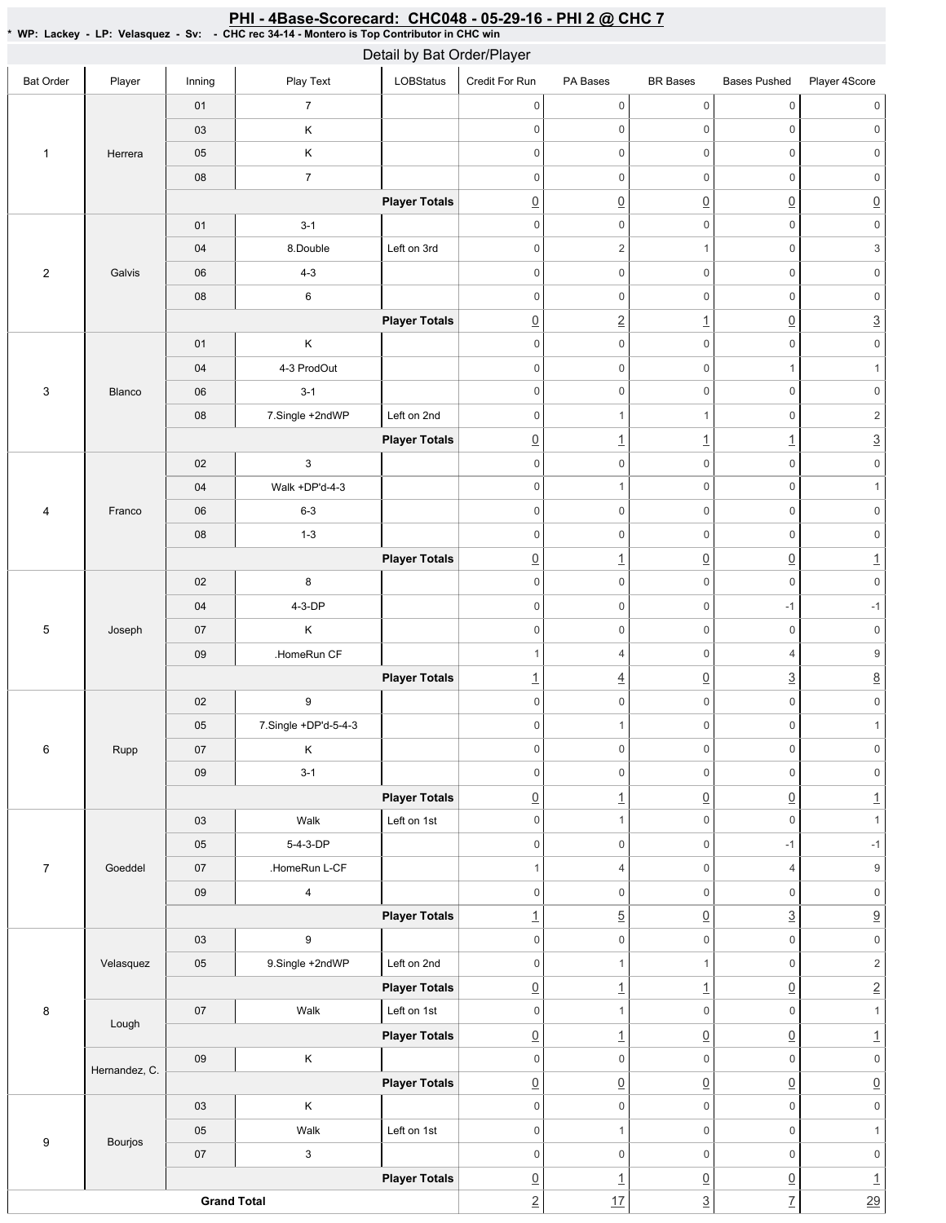### <u>PHI - 4Base-Scorecard: CHC048 - 05-29-16 - PHI 2 @ CHC 7</u>

\*WP:Lackey-LP:Velasquez-Sv: -CHCrec34-14-MonteroisTopContributorinCHCwin

| LOBStatus<br>Play Text<br>Credit For Run<br>Player<br>PA Bases<br><b>BR</b> Bases<br><b>Bases Pushed</b><br>Player 4Score<br><b>Bat Order</b><br>Inning<br>$\mathsf{O}\xspace$<br>$\overline{7}$<br>0<br>$\mathbf 0$<br>$\mathbf 0$<br>01<br>$\mathsf{0}$<br>$\mathbf 0$<br>0<br>$\mathsf{O}\xspace$<br>$\mathbb O$<br>Κ<br>$\mathsf{O}\xspace$<br>03<br>$\sf K$<br>$\mathbf 0$<br>0<br>$\mathsf{O}\xspace$<br>$\mathbf 0$<br>$\mathsf{O}\xspace$<br>05<br>$\mathbf{1}$<br>Herrera<br>$\boldsymbol{7}$<br>$\mathbf 0$<br>$\mathsf{O}\xspace$<br>$\mathbf 0$<br>$\mathsf{O}\xspace$<br>${\bf 08}$<br>0<br>$\underline{0}$<br>$\underline{0}$<br>$\underline{0}$<br>$\underline{0}$<br>$\underline{0}$<br><b>Player Totals</b><br>$\mathsf{O}\xspace$<br>$\mathsf{O}\xspace$<br>$\mathsf{O}\xspace$<br>$\mathbb O$<br>$\mathsf{O}\xspace$<br>$3 - 1$<br>01<br>$\ensuremath{\mathsf{3}}$<br>8.Double<br>Left on 3rd<br>$\mathbf 0$<br>$\overline{2}$<br>$\mathbf{1}$<br>$\mathbb O$<br>04<br>$\overline{c}$<br>$4 - 3$<br>$\mathbf 0$<br>0<br>$\mathsf{O}\xspace$<br>$\mathbf 0$<br>$\mathsf{O}\xspace$<br>Galvis<br>06<br>$\mathsf{O}\xspace$<br>$\,6\,$<br>$\mathsf{O}\xspace$<br>$\mathbf 0$<br>08<br>$\mathbf 0$<br>$\mathsf{O}\xspace$<br>$\underline{3}$<br>$\underline{2}$<br>$\underline{0}$<br>$\underline{0}$<br><b>Player Totals</b><br>$\overline{1}$<br>$\sf K$<br>$\mathsf{O}\xspace$<br>$\mathbb O$<br>$\mathsf{O}\xspace$<br>01<br>$\mathbf 0$<br>0<br>$\mathbf 0$<br>$\mathsf{O}\xspace$<br>4-3 ProdOut<br>0<br>$\mathbf{1}$<br>04<br>$\mathbf{1}$<br>$\mathbf 0$<br>$\mathsf{O}\xspace$<br>$\mathbb O$<br>$\mathsf{O}\xspace$<br>0<br>$3 - 1$<br>3<br>06<br>Blanco<br>$\overline{c}$<br>08<br>7.Single +2ndWP<br>Left on 2nd<br>$\mathbf 0$<br>$\mathbb O$<br>$\mathbf{1}$<br>$\mathbf{1}$ |
|-----------------------------------------------------------------------------------------------------------------------------------------------------------------------------------------------------------------------------------------------------------------------------------------------------------------------------------------------------------------------------------------------------------------------------------------------------------------------------------------------------------------------------------------------------------------------------------------------------------------------------------------------------------------------------------------------------------------------------------------------------------------------------------------------------------------------------------------------------------------------------------------------------------------------------------------------------------------------------------------------------------------------------------------------------------------------------------------------------------------------------------------------------------------------------------------------------------------------------------------------------------------------------------------------------------------------------------------------------------------------------------------------------------------------------------------------------------------------------------------------------------------------------------------------------------------------------------------------------------------------------------------------------------------------------------------------------------------------------------------------------------------------------------------------------------|
|                                                                                                                                                                                                                                                                                                                                                                                                                                                                                                                                                                                                                                                                                                                                                                                                                                                                                                                                                                                                                                                                                                                                                                                                                                                                                                                                                                                                                                                                                                                                                                                                                                                                                                                                                                                                           |
|                                                                                                                                                                                                                                                                                                                                                                                                                                                                                                                                                                                                                                                                                                                                                                                                                                                                                                                                                                                                                                                                                                                                                                                                                                                                                                                                                                                                                                                                                                                                                                                                                                                                                                                                                                                                           |
|                                                                                                                                                                                                                                                                                                                                                                                                                                                                                                                                                                                                                                                                                                                                                                                                                                                                                                                                                                                                                                                                                                                                                                                                                                                                                                                                                                                                                                                                                                                                                                                                                                                                                                                                                                                                           |
|                                                                                                                                                                                                                                                                                                                                                                                                                                                                                                                                                                                                                                                                                                                                                                                                                                                                                                                                                                                                                                                                                                                                                                                                                                                                                                                                                                                                                                                                                                                                                                                                                                                                                                                                                                                                           |
|                                                                                                                                                                                                                                                                                                                                                                                                                                                                                                                                                                                                                                                                                                                                                                                                                                                                                                                                                                                                                                                                                                                                                                                                                                                                                                                                                                                                                                                                                                                                                                                                                                                                                                                                                                                                           |
|                                                                                                                                                                                                                                                                                                                                                                                                                                                                                                                                                                                                                                                                                                                                                                                                                                                                                                                                                                                                                                                                                                                                                                                                                                                                                                                                                                                                                                                                                                                                                                                                                                                                                                                                                                                                           |
|                                                                                                                                                                                                                                                                                                                                                                                                                                                                                                                                                                                                                                                                                                                                                                                                                                                                                                                                                                                                                                                                                                                                                                                                                                                                                                                                                                                                                                                                                                                                                                                                                                                                                                                                                                                                           |
|                                                                                                                                                                                                                                                                                                                                                                                                                                                                                                                                                                                                                                                                                                                                                                                                                                                                                                                                                                                                                                                                                                                                                                                                                                                                                                                                                                                                                                                                                                                                                                                                                                                                                                                                                                                                           |
|                                                                                                                                                                                                                                                                                                                                                                                                                                                                                                                                                                                                                                                                                                                                                                                                                                                                                                                                                                                                                                                                                                                                                                                                                                                                                                                                                                                                                                                                                                                                                                                                                                                                                                                                                                                                           |
|                                                                                                                                                                                                                                                                                                                                                                                                                                                                                                                                                                                                                                                                                                                                                                                                                                                                                                                                                                                                                                                                                                                                                                                                                                                                                                                                                                                                                                                                                                                                                                                                                                                                                                                                                                                                           |
|                                                                                                                                                                                                                                                                                                                                                                                                                                                                                                                                                                                                                                                                                                                                                                                                                                                                                                                                                                                                                                                                                                                                                                                                                                                                                                                                                                                                                                                                                                                                                                                                                                                                                                                                                                                                           |
|                                                                                                                                                                                                                                                                                                                                                                                                                                                                                                                                                                                                                                                                                                                                                                                                                                                                                                                                                                                                                                                                                                                                                                                                                                                                                                                                                                                                                                                                                                                                                                                                                                                                                                                                                                                                           |
|                                                                                                                                                                                                                                                                                                                                                                                                                                                                                                                                                                                                                                                                                                                                                                                                                                                                                                                                                                                                                                                                                                                                                                                                                                                                                                                                                                                                                                                                                                                                                                                                                                                                                                                                                                                                           |
|                                                                                                                                                                                                                                                                                                                                                                                                                                                                                                                                                                                                                                                                                                                                                                                                                                                                                                                                                                                                                                                                                                                                                                                                                                                                                                                                                                                                                                                                                                                                                                                                                                                                                                                                                                                                           |
|                                                                                                                                                                                                                                                                                                                                                                                                                                                                                                                                                                                                                                                                                                                                                                                                                                                                                                                                                                                                                                                                                                                                                                                                                                                                                                                                                                                                                                                                                                                                                                                                                                                                                                                                                                                                           |
| $\overline{3}$<br>$\underline{0}$<br>$\overline{1}$<br>$\overline{1}$<br><b>Player Totals</b><br>$\underline{\mathbf{1}}$                                                                                                                                                                                                                                                                                                                                                                                                                                                                                                                                                                                                                                                                                                                                                                                                                                                                                                                                                                                                                                                                                                                                                                                                                                                                                                                                                                                                                                                                                                                                                                                                                                                                                 |
| $\mathsf{O}\xspace$<br>$\mathsf 3$<br>$\mathsf{O}\xspace$<br>$\mathbb O$<br>$\mathbf 0$<br>$\mathbf 0$<br>02                                                                                                                                                                                                                                                                                                                                                                                                                                                                                                                                                                                                                                                                                                                                                                                                                                                                                                                                                                                                                                                                                                                                                                                                                                                                                                                                                                                                                                                                                                                                                                                                                                                                                              |
| $\mathbf 0$<br>$\mathsf{O}\xspace$<br>$\mathbf 0$<br>Walk +DP'd-4-3<br>$\mathbf{1}$<br>$\mathbf{1}$<br>04                                                                                                                                                                                                                                                                                                                                                                                                                                                                                                                                                                                                                                                                                                                                                                                                                                                                                                                                                                                                                                                                                                                                                                                                                                                                                                                                                                                                                                                                                                                                                                                                                                                                                                 |
| $\mathbf 0$<br>$\mathsf{O}\xspace$<br>$\mathbf 0$<br>$\mathsf{O}\xspace$<br>$6 - 3$<br>0<br>Franco<br>06<br>4                                                                                                                                                                                                                                                                                                                                                                                                                                                                                                                                                                                                                                                                                                                                                                                                                                                                                                                                                                                                                                                                                                                                                                                                                                                                                                                                                                                                                                                                                                                                                                                                                                                                                             |
| $\mathbf 0$<br>$\mathbb O$<br>$\mathsf{O}\xspace$<br>$1 - 3$<br>0<br>$\mathsf{O}\xspace$<br>08                                                                                                                                                                                                                                                                                                                                                                                                                                                                                                                                                                                                                                                                                                                                                                                                                                                                                                                                                                                                                                                                                                                                                                                                                                                                                                                                                                                                                                                                                                                                                                                                                                                                                                            |
| $\underline{1}$<br>$\underline{0}$<br>$\underline{0}$<br>$\underline{0}$<br><b>Player Totals</b><br>$\overline{1}$                                                                                                                                                                                                                                                                                                                                                                                                                                                                                                                                                                                                                                                                                                                                                                                                                                                                                                                                                                                                                                                                                                                                                                                                                                                                                                                                                                                                                                                                                                                                                                                                                                                                                        |
| $\mathsf{O}\xspace$<br>$\mathbf 0$<br>02<br>8<br>$\mathbf 0$<br>$\mathsf{O}\xspace$<br>$\mathbb O$                                                                                                                                                                                                                                                                                                                                                                                                                                                                                                                                                                                                                                                                                                                                                                                                                                                                                                                                                                                                                                                                                                                                                                                                                                                                                                                                                                                                                                                                                                                                                                                                                                                                                                        |
| $\mathbf 0$<br>$\mathsf{O}\xspace$<br>$-1$<br>$\textnormal{\texttt{-1}}$<br>$4-3-DP$<br>0<br>04                                                                                                                                                                                                                                                                                                                                                                                                                                                                                                                                                                                                                                                                                                                                                                                                                                                                                                                                                                                                                                                                                                                                                                                                                                                                                                                                                                                                                                                                                                                                                                                                                                                                                                           |
| $\sf K$<br>$\mathsf{O}\xspace$<br>5<br>$\mathsf{O}\xspace$<br>$\mathbf 0$<br>0<br>$\mathbb O$<br>07<br>Joseph                                                                                                                                                                                                                                                                                                                                                                                                                                                                                                                                                                                                                                                                                                                                                                                                                                                                                                                                                                                                                                                                                                                                                                                                                                                                                                                                                                                                                                                                                                                                                                                                                                                                                             |
| $\boldsymbol{9}$<br>$\overline{4}$<br>$\mathsf{O}\xspace$<br>$\overline{4}$<br>$\mathbf{1}$<br>.HomeRun CF<br>09                                                                                                                                                                                                                                                                                                                                                                                                                                                                                                                                                                                                                                                                                                                                                                                                                                                                                                                                                                                                                                                                                                                                                                                                                                                                                                                                                                                                                                                                                                                                                                                                                                                                                          |
| $\underline{8}$<br>$\underline{0}$<br>$\underline{3}$<br><b>Player Totals</b><br>$\overline{1}$<br>$\overline{4}$                                                                                                                                                                                                                                                                                                                                                                                                                                                                                                                                                                                                                                                                                                                                                                                                                                                                                                                                                                                                                                                                                                                                                                                                                                                                                                                                                                                                                                                                                                                                                                                                                                                                                         |
| $\mathsf{O}\xspace$<br>$\mathbf 0$<br>$\mathbb O$<br>$\boldsymbol{9}$<br>$\mathsf{O}\xspace$<br>$\mathsf 0$<br>02                                                                                                                                                                                                                                                                                                                                                                                                                                                                                                                                                                                                                                                                                                                                                                                                                                                                                                                                                                                                                                                                                                                                                                                                                                                                                                                                                                                                                                                                                                                                                                                                                                                                                         |
| $\mathbf{1}$<br>05<br>7.Single +DP'd-5-4-3<br>$\mathbf 0$<br>$\mathsf{O}\xspace$<br>$\mathbf 0$<br>$\mathbf{1}$                                                                                                                                                                                                                                                                                                                                                                                                                                                                                                                                                                                                                                                                                                                                                                                                                                                                                                                                                                                                                                                                                                                                                                                                                                                                                                                                                                                                                                                                                                                                                                                                                                                                                           |
| 6<br>$\sf K$<br>$\mathbf 0$<br>$\mathsf{O}\xspace$<br>$\mathsf 0$<br>$\mathbb O$<br>Rupp<br>$07\,$<br>$\mathbf 0$                                                                                                                                                                                                                                                                                                                                                                                                                                                                                                                                                                                                                                                                                                                                                                                                                                                                                                                                                                                                                                                                                                                                                                                                                                                                                                                                                                                                                                                                                                                                                                                                                                                                                         |
| $3 - 1$<br>$\mathsf{O}\xspace$<br>0<br>$\mathsf{O}\xspace$<br>$\mathbf 0$<br>$\mathsf{0}$<br>$09\,$                                                                                                                                                                                                                                                                                                                                                                                                                                                                                                                                                                                                                                                                                                                                                                                                                                                                                                                                                                                                                                                                                                                                                                                                                                                                                                                                                                                                                                                                                                                                                                                                                                                                                                       |
| $\underline{0}$<br>$\underline{0}$<br>$\underline{0}$<br>$\overline{1}$<br><b>Player Totals</b><br>$\perp$                                                                                                                                                                                                                                                                                                                                                                                                                                                                                                                                                                                                                                                                                                                                                                                                                                                                                                                                                                                                                                                                                                                                                                                                                                                                                                                                                                                                                                                                                                                                                                                                                                                                                                |
| $\mathsf{O}\xspace$<br>$\mathsf{O}\xspace$<br>$\mathbb O$<br>$\mathbf{1}$<br>Walk<br>Left on 1st<br>$\mathbf{1}$<br>03                                                                                                                                                                                                                                                                                                                                                                                                                                                                                                                                                                                                                                                                                                                                                                                                                                                                                                                                                                                                                                                                                                                                                                                                                                                                                                                                                                                                                                                                                                                                                                                                                                                                                    |
| 5-4-3-DP<br>$\mathsf{O}\xspace$<br>$\mathsf{O}\xspace$<br>$\mathsf{O}\xspace$<br>$-1$<br>$-1$<br>05                                                                                                                                                                                                                                                                                                                                                                                                                                                                                                                                                                                                                                                                                                                                                                                                                                                                                                                                                                                                                                                                                                                                                                                                                                                                                                                                                                                                                                                                                                                                                                                                                                                                                                       |
| $\boldsymbol{9}$<br>$\mathsf{O}\xspace$<br>$\sqrt{4}$<br>.HomeRun L-CF<br>$\mathbf{1}$<br>$\overline{4}$<br>$\overline{7}$<br>Goeddel<br>07                                                                                                                                                                                                                                                                                                                                                                                                                                                                                                                                                                                                                                                                                                                                                                                                                                                                                                                                                                                                                                                                                                                                                                                                                                                                                                                                                                                                                                                                                                                                                                                                                                                               |
| $\overline{\mathbf{4}}$<br>$\mathsf{O}\xspace$<br>$\mathsf{0}$<br>$09\,$<br>$\mathbf 0$<br>$\mathbf 0$<br>$\mathbb O$                                                                                                                                                                                                                                                                                                                                                                                                                                                                                                                                                                                                                                                                                                                                                                                                                                                                                                                                                                                                                                                                                                                                                                                                                                                                                                                                                                                                                                                                                                                                                                                                                                                                                     |
| $\overline{3}$<br>$\underline{9}$<br>$\overline{5}$<br><b>Player Totals</b><br>$\underline{\mathbf{1}}$<br>$\underline{0}$                                                                                                                                                                                                                                                                                                                                                                                                                                                                                                                                                                                                                                                                                                                                                                                                                                                                                                                                                                                                                                                                                                                                                                                                                                                                                                                                                                                                                                                                                                                                                                                                                                                                                |
| $\mathsf{O}\xspace$<br>$\boldsymbol{9}$<br>$\mathsf{O}\xspace$<br>$\mathsf{O}\xspace$<br>$\mathsf{O}\xspace$<br>$\mathsf{O}\xspace$<br>03                                                                                                                                                                                                                                                                                                                                                                                                                                                                                                                                                                                                                                                                                                                                                                                                                                                                                                                                                                                                                                                                                                                                                                                                                                                                                                                                                                                                                                                                                                                                                                                                                                                                 |
| $\overline{c}$<br>$\mathsf{O}\xspace$<br>Left on 2nd<br>$\mathsf{O}\xspace$<br>05<br>9.Single +2ndWP<br>$\mathbf{1}$<br>Velasquez<br>$\mathbf{1}$                                                                                                                                                                                                                                                                                                                                                                                                                                                                                                                                                                                                                                                                                                                                                                                                                                                                                                                                                                                                                                                                                                                                                                                                                                                                                                                                                                                                                                                                                                                                                                                                                                                         |
| $\underline{2}$<br>$\underline{0}$<br>$\underline{0}$<br>$\overline{1}$<br><b>Player Totals</b><br>$\perp$                                                                                                                                                                                                                                                                                                                                                                                                                                                                                                                                                                                                                                                                                                                                                                                                                                                                                                                                                                                                                                                                                                                                                                                                                                                                                                                                                                                                                                                                                                                                                                                                                                                                                                |
| Left on 1st<br>Walk<br>$\mathsf{O}\xspace$<br>$\mathsf{O}\xspace$<br>$\mathbf 0$<br>$\mathbf{1}$<br>8<br>$07\,$<br>$\mathbf{1}$<br>Lough                                                                                                                                                                                                                                                                                                                                                                                                                                                                                                                                                                                                                                                                                                                                                                                                                                                                                                                                                                                                                                                                                                                                                                                                                                                                                                                                                                                                                                                                                                                                                                                                                                                                  |
| $\underline{0}$<br>$\underline{0}$<br>$\underline{0}$<br>$\overline{1}$<br>$\perp$<br><b>Player Totals</b>                                                                                                                                                                                                                                                                                                                                                                                                                                                                                                                                                                                                                                                                                                                                                                                                                                                                                                                                                                                                                                                                                                                                                                                                                                                                                                                                                                                                                                                                                                                                                                                                                                                                                                |
| $\mathsf K$<br>$\mathsf{O}\xspace$<br>$\mathsf{O}\xspace$<br>$\mathbf 0$<br>09<br>$\mathbf 0$<br>0<br>Hernandez, C.                                                                                                                                                                                                                                                                                                                                                                                                                                                                                                                                                                                                                                                                                                                                                                                                                                                                                                                                                                                                                                                                                                                                                                                                                                                                                                                                                                                                                                                                                                                                                                                                                                                                                       |
| $\underline{0}$<br>$\underline{0}$<br><b>Player Totals</b><br>$\underline{0}$<br>$\underline{0}$<br>$\underline{0}$                                                                                                                                                                                                                                                                                                                                                                                                                                                                                                                                                                                                                                                                                                                                                                                                                                                                                                                                                                                                                                                                                                                                                                                                                                                                                                                                                                                                                                                                                                                                                                                                                                                                                       |
| $\mathsf{O}\xspace$<br>Κ<br>$\mathsf 0$<br>$\mathsf{O}\xspace$<br>$\mathsf{O}\xspace$<br>$\mathsf{O}\xspace$<br>03                                                                                                                                                                                                                                                                                                                                                                                                                                                                                                                                                                                                                                                                                                                                                                                                                                                                                                                                                                                                                                                                                                                                                                                                                                                                                                                                                                                                                                                                                                                                                                                                                                                                                        |
| $\mathsf{O}\xspace$<br>$\mathsf{O}\xspace$<br>$\mathsf{O}\xspace$<br>Walk<br>Left on 1st<br>$\mathbf{1}$<br>05<br>$\mathbf{1}$<br>9<br>Bourjos                                                                                                                                                                                                                                                                                                                                                                                                                                                                                                                                                                                                                                                                                                                                                                                                                                                                                                                                                                                                                                                                                                                                                                                                                                                                                                                                                                                                                                                                                                                                                                                                                                                            |
| $\mathbf{3}$<br>$\mathbf 0$<br>$\mathsf{O}\xspace$<br>$\mathbf 0$<br>$\mathsf{0}$<br>$07\,$<br>$\mathbf 0$                                                                                                                                                                                                                                                                                                                                                                                                                                                                                                                                                                                                                                                                                                                                                                                                                                                                                                                                                                                                                                                                                                                                                                                                                                                                                                                                                                                                                                                                                                                                                                                                                                                                                                |
| <b>Player Totals</b><br>$\underline{0}$<br>$\underline{0}$<br>$\underline{0}$<br>$\underline{\mathbf{1}}$<br>$\overline{1}$<br>$\overline{29}$<br>$\overline{2}$<br>17<br>$\overline{7}$<br>$\overline{3}$<br><b>Grand Total</b>                                                                                                                                                                                                                                                                                                                                                                                                                                                                                                                                                                                                                                                                                                                                                                                                                                                                                                                                                                                                                                                                                                                                                                                                                                                                                                                                                                                                                                                                                                                                                                          |